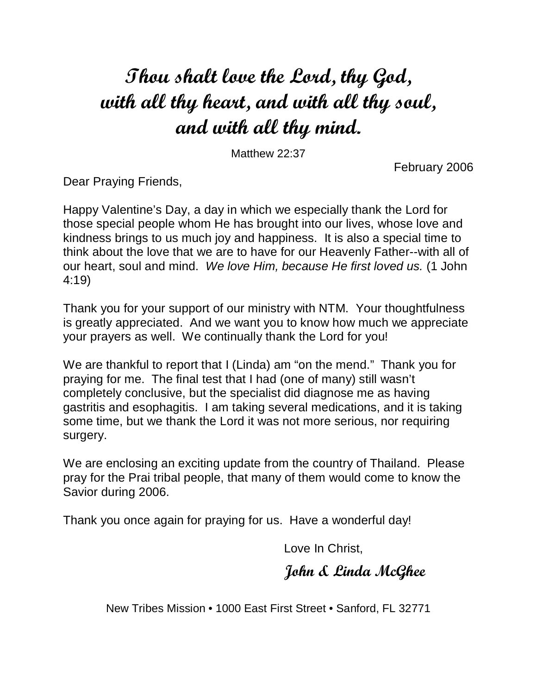## Thou shalt love the Lord, thy God, with all thy heart, and with all thy soul, and with all thy mind.

Matthew 22:37

February 2006

Dear Praying Friends,

Happy Valentine's Day, a day in which we especially thank the Lord for those special people whom He has brought into our lives, whose love and kindness brings to us much joy and happiness. It is also a special time to think about the love that we are to have for our Heavenly Father--with all of our heart, soul and mind. We love Him, because He first loved us. (1 John 4:19)

Thank you for your support of our ministry with NTM. Your thoughtfulness is greatly appreciated. And we want you to know how much we appreciate your prayers as well. We continually thank the Lord for you!

We are thankful to report that I (Linda) am "on the mend." Thank you for praying for me. The final test that I had (one of many) still wasn't completely conclusive, but the specialist did diagnose me as having gastritis and esophagitis. I am taking several medications, and it is taking some time, but we thank the Lord it was not more serious, nor requiring surgery.

We are enclosing an exciting update from the country of Thailand. Please pray for the Prai tribal people, that many of them would come to know the Savior during 2006.

Thank you once again for praying for us. Have a wonderful day!

Love In Christ,

John & Linda McGhee

New Tribes Mission • 1000 East First Street • Sanford, FL 32771